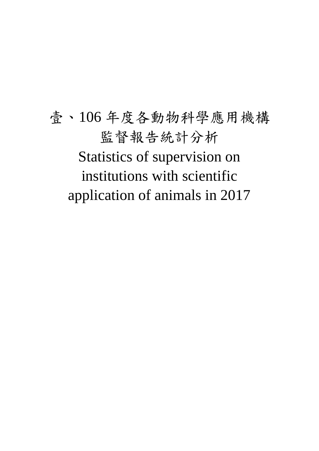壹、106 年度各動物科學應用機構 監督報告統計分析 Statistics of supervision on institutions with scientific application of animals in 2017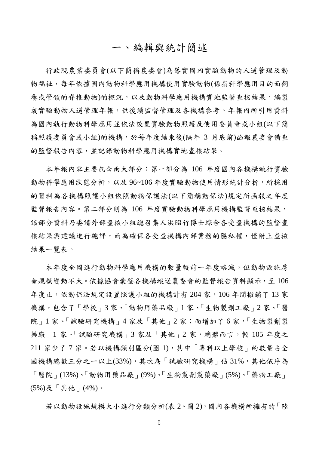#### 一、編輯與統計簡述

行政院農業委員會(以下簡稱農委會)為落實國內實驗動物的人道管理及動 物福祉,每年依據國內動物科學應用機構使用實驗動物(係指科學應用目的而飼 養或管領的脊椎動物)的概況,以及動物科學應用機構實地監督查核結果,編製 成實驗動物人道管理年報,供後續監督管理及各機構參考。年報內所引用資料 為國內執行動物科學應用並依法設置實驗動物照護及使用委員會或小組(以下簡 稱照護委員會或小組)的機構,於每年度結束後(隔年 3 月底前)函報農委會備查 的監督報告內容,並記錄動物科學應用機構實地查核結果。

本年報內容主要包含兩大部分:第一部分為 106 年度國內各機構執行實驗 動物科學應用狀態分析,以及 96~106年度實驗動物使用情形統計分析,所採用 的資料為各機構照護小組依照動物保護法(以下簡稱動保法)規定所函報之年度 監督報告內容。第二部分則為 106 年度實驗動物科學應用機構監督查核結果, 該部分資料乃委請外部查核小組總召集人洪昭竹博士綜合各受查機構的監督查 核結果與建議進行總評,而為確保各受查機構內部業務的隱私權,僅附上查核 結果一覽表。

本年度全國進行動物科學應用機構的數量較前一年度略減,但動物設施房 舍規模變動不大。依據協會彙整各機構報送農委會的監督報告資料顯示,至 106 年度止,依動保法規定設置照護小組的機構計有 204 家,106 年間撤銷了13 家 機構,包含了「學校」3家、「動物用藥品廠」1家、「生物製劑工廠」2家、「醫 院」1家、「試驗研究機構」4家及「其他」2家;而增加了6家,「生物製劑製 藥廠 | 1 家、「試驗研究機構 | 3 家及「其他 | 2 家, 總體而言, 較 105 年度之 211 家少了 7 家。若以機構類別區分(圖 1),其中「專科以上學校」的數量占全 國機構總數三分之一以上(33%),其次為「試驗研究機構」佔 31%,其他依序為 「醫院」(13%)、「動物用藥品廠」(9%)、「生物製劑製藥廠」(5%)、「藥物工廠」 (5%)及「其他」(4%)。

若以動物設施規模大小進行分類分析(表 2、圖 2),國內各機構所擁有的「陸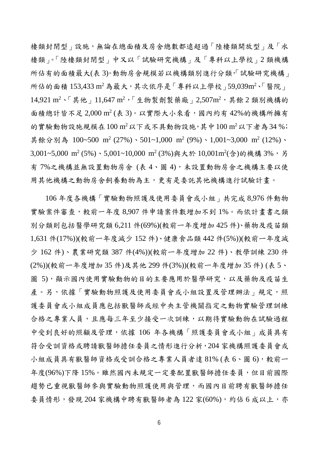棲類封閉型」設施,無論在總面積及房舍總數都遠超過「陸棲類開放型」及「水 棲類」。「陸棲類封閉型」中又以「試驗研究機構」及「專科以上學校」2 類機構 所佔有的面積最大(表 3)。動物房舍規模若以機構類別進行分類,「試驗研究機構」 所佔的面積 153,433 m<sup>2</sup>為最大,其次依序是「專科以上學校 159,039m<sup>2、「醫</sup>院」 14,921 m<sup>2</sup>、「其他」11,647 m<sup>2,「</sup>生物製劑製藥廠」2,507m<sup>2,</sup>其餘 2 類別機構的 面積總計皆不足 2,000 m<sup>2</sup> (表 3)。以實際大小來看,國內約有42%的機構所擁有 的實驗動物設施規模在 $100 \text{ m}^2$ 以下或不具動物設施,其中 $100 \text{ m}^2$ 以下者為 $34 \text{ %}$ ; 其餘分別為 100~500 m<sup>2</sup> (27%)、501~1,000 m<sup>2</sup> (9%)、1,001~3,000 m<sup>2</sup> (12%)、 3,001~5,000 m<sup>2</sup> (5%)、5,001~10,000 m<sup>2</sup> (3%)與大於 10,001m<sup>2</sup>(含)的機構 3%,另 有 7%之機構並無設置動物房舍 (表 4、圖 4),未設置動物房舍之機構主要以使 用其他機構之動物房舍飼養動物為主,更有是委託其他機構進行試驗計畫。

106 年度各機構「實驗動物照護及使用委員會或小組」共完成 8,976 件動物 實驗案件審查,較前一年度 8,907 件申請案件數增加不到 1%。而依計畫書之類 別分類則包括醫學研究類 6,211 件(69%)(較前ㄧ年度增加 425 件)、藥物及疫苗類 1,631 件(17%))(較前ㄧ年度減少 152 件)、健康食品類 442 件(5%))(較前ㄧ年度減 少 162 件)、農業研究類 387 件(4%))(較前ㄧ年度增加 22 件)、教學訓練 230 件 (2%))(較前ㄧ年度增加 35 件)及其他 299 件(3%))(較前ㄧ年度增加 35 件) (表 5、 圖 5),顯示國內使用實驗動物的目的主要應用於醫學研究,以及藥物及疫苗生 產。另,依據「實驗動物照護及使用委員會或小組設置及管理辦法」規定,照 護委員會或小組成員應包括獸醫師或經中央主管機關指定之動物實驗管理訓練 合格之專業人員,且應每三年至少接受一次訓練,以期待實驗動物在試驗過程 中受到良好的照顧及管理,依據 106 年各機構「照護委員會或小組」成員具有 符合受訓資格或聘請獸醫師擔任委員之情形進行分析,204 家機構照護委員會或 小組成員具有獸醫師資格或受訓合格之專業人員者達 81% (表 6、圖 6),較前一 年度(96%)下降 15%。雖然國內未規定一定要配置獸醫師擔任委員,但目前國際 趨勢已重視獸醫師參與實驗動物照護使用與管理,而國內目前聘有獸醫師擔任 委員情形,發現 204 家機構中聘有獸醫師者為 122 家(60%),約佔 6 成以上,亦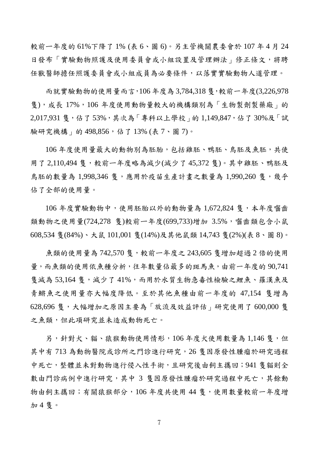較前ㄧ年度的 61%下降了 1% (表 6、圖 6)。另主管機關農委會於 107 年 4 月 24 日發布「實驗動物照護及使用委員會或小組設置及管理辦法」修正條文,將聘 任獸醫師擔任照護委員會或小組成員為必要條件,以落實實驗動物人道管理。

而就實驗動物的使用量而言,106 年度為 3,784,318 隻,較前一年度(3,226,978 隻),成長 17%,106 年度使用動物量較大的機構類別為「生物製劑製藥廠」的 2,017,931 隻,佔了 53%,其次為「專科以上學校」的 1,149,847,佔了 30%及「試 驗研究機構」的 498,856,佔了 13% (表 7、圖 7)。

106 年度使用量最大的動物別為胚胎,包括雞胚、鴨胚、鳥胚及魚胚,共使 用了 2,110,494 隻,較前一年度略為減少(減少了 45,372 隻)。其中雞胚、鴨胚及 鳥胚的數量為 1,998,346 隻,應用於疫苗生產計畫之數量為 1,990,260 隻,幾乎 佔了全部的使用量。

 $106$  年度實驗動物中,使用胚胎以外的動物量為  $1.672.824$  售, 本年度囓齒 類動物之使用量(724,278 售)較前一年度(699,733)增加 3.5%, 囓齒類包含小鼠 608,534 隻(84%)、大鼠 101,001 隻(14%)及其他鼠類 14,743 隻(2%)(表 8、圖 8)。

魚類的使用量為 742,570 隻,較前一年度之 243,605 隻增加超過 2 倍的使用 量,而魚類的使用依魚種分析,往年數量佔最多的斑馬魚,由前一年度的 90,741 售減為 53,164 售,減少了 41%,而用於水質生物急毒性檢驗之鯉魚、羅漢魚及 青鱂魚之使用量亦大幅度降低。至於其他魚種由前一年度的 47,154 隻增為 628,696 隻,大幅增加之原因主要為「放流及效益評估」研究使用了 600,000 隻 之魚類,但此項研究並未造成動物死亡。

另,針對犬、貓、猿猴動物使用情形,106年度犬使用數量為1,146隻,但 其中有 713 為動物醫院或診所之門診進行研究,26 隻因原發性腫瘤於研究過程 中死亡,整體並未對動物進行侵入性手術,且研究後由飼主攜回;941 隻貓則全 數由門診病例中進行研究,其中 3 隻因原發性腫瘤於研究過程中死亡,其餘動 物由飼主攜回;有關猿猴部分,106 年度共使用 44 隻,使用數量較前一年度增 加 4 隻。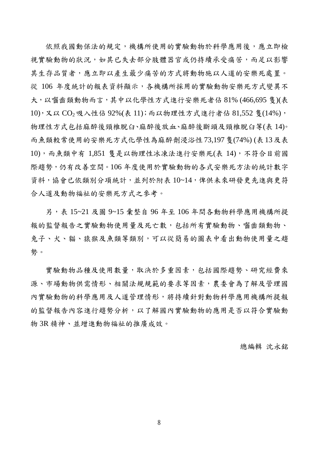依照我國動保法的規定,機構所使用的實驗動物於科學應用後,應立即檢 視實驗動物的狀況,如其已失去部分肢體器官或仍持續承受痛苦,而足以影響 其生存品質者,應立即以產生最少痛苦的方式將動物施以人道的安樂死處置。 從 106 年度統計的報表資料顯示,各機構所採用的實驗動物安樂死方式變異不 大,以囓齒類動物而言,其中以化學性方式進行安樂死者佔 81% (466,695 隻)(表 10), 又以 CO<sub>2</sub> 吸入性佔 92%(表 11); 而以物理性方式進行者佔 81,552 隻(14%), 物理性方式包括麻醉後頸椎脫臼、麻醉後放血、麻醉後斷頭及頸椎脫臼等(表 14)。 而魚類較常使用的安樂死方式化學性為麻醉劑浸浴性73,197隻(74%) (表13及表 10),而魚類中有 1,851 隻是以物理性冰凍法進行安樂死(表 14),不符合目前國 際趨勢,仍有改善空間。106 年度使用於實驗動物的各式安樂死方法的統計數字 資料,協會已依類別分項統計,並列於附表 10~14,俾供未來研發更先進與更符 合人道及動物福祉的安樂死方式之參考。

另,表 15~21 及圖 9~15 彙整自 96 年至 106 年間各動物科學應用機構所提 報的監督報告之實驗動物使用量及死亡數,包括所有實驗動物、醫齒類動物、 兔子、犬、貓、猿猴及魚類等類別,可以從簡易的圖表中看出動物使用量之趨 勢。

實驗動物品種及使用數量,取決於多重因素,包括國際趨勢、研究經費來 源、市場動物供需情形、相關法規規範的要求等因素,農委會為了解及管理國 內實驗動物的科學應用及人道管理情形,將持續針對動物科學應用機構所提報 的監督報告內容進行趨勢分析,以了解國內實驗動物的應用是否以符合實驗動 物 3R 精神、並增進動物福祉的推廣成效。

總編輯 沈永銘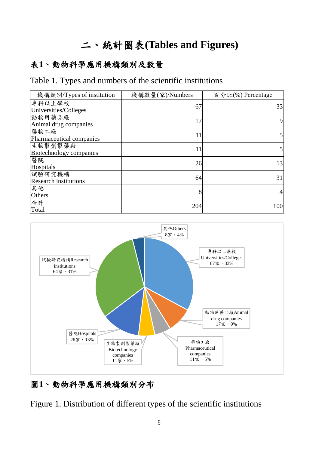# 二、統計圖表**(Tables and Figures)**

#### 表**1**、動物科學應用機構類別及數量

#### Table 1. Types and numbers of the scientific institutions

| 機構類別/Types of institution              | 機構數量(家)/Numbers | 百分比(%) Percentage |
|----------------------------------------|-----------------|-------------------|
| 專科以上學校<br>Universities/Colleges        | 67              | 33                |
| 動物用藥品廠<br>Animal drug companies        | 17              | 9                 |
| 藥物工廠<br>Pharmaceutical companies       | 11              | 5                 |
| 生物製劑製藥廠<br>Biotechnology companies     | 11              | 5                 |
| 醫院<br>Hospitals                        | 26              | 13                |
| 試驗研究機構<br><b>Research institutions</b> | 64              | 31                |
| 其他<br>Others                           | 8               | 4                 |
| 合計<br>Total                            | 204             | 100               |



#### 圖**1**、動物科學應用機構類別分布

Figure 1. Distribution of different types of the scientific institutions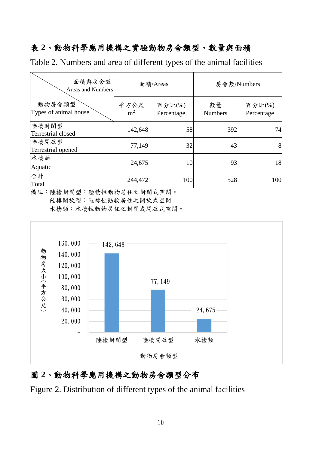## 表 **2**、動物科學應用機構之實驗動物房舍類型、數量與面積

Table 2. Numbers and area of different types of the animal facilities

| 面積與房舍數<br>Areas and Numbers     |                        | 面積/Areas             |                      | 房舍數/Numbers          |
|---------------------------------|------------------------|----------------------|----------------------|----------------------|
| 動物房舍類型<br>Types of animal house | 平方公尺<br>m <sup>2</sup> | 百分比(%)<br>Percentage | 數量<br><b>Numbers</b> | 百分比(%)<br>Percentage |
| 陸棲封閉型<br>Terrestrial closed     | 142,648                | 58                   | 392                  | 74                   |
| 陸棲開放型<br>Terrestrial opened     | 77,149                 | 32                   | 43                   | 8                    |
| 水棲類<br>Aquatic                  | 24,675                 | 10                   | 93                   | 18                   |
| 合計<br>Total                     | 244,472                | 100                  | 528                  | 100                  |

備註:陸棲封閉型:陸棲性動物居住之封閉式空間。

陸棲開放型:陸棲性動物居住之開放式空間。

水棲類:水棲性動物居住之封閉或開放式空間。



#### 圖 **2**、動物科學應用機構之動物房舍類型分布

Figure 2. Distribution of different types of the animal facilities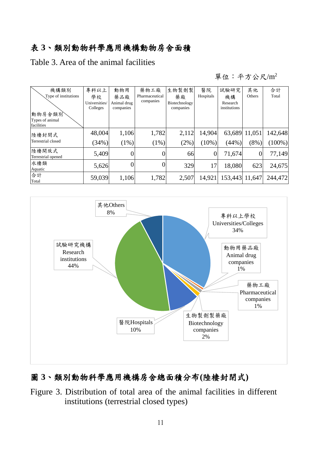#### 表 **3**、類別動物科學應用機構動物房舍面積

Table 3. Area of the animal facilities

單位:平方公尺/m<sup>2</sup>

| 機構類別                 | 專科以上          | 動物用         | 藥物工廠           | 生物製劑製         | 醫院             | 試驗研究           | 其他            | 合計        |
|----------------------|---------------|-------------|----------------|---------------|----------------|----------------|---------------|-----------|
| Type of institutions | 學校            | 藥品廠         | Pharmaceutical | 藥廠            | Hospitals      | 機構             | Others        | Total     |
|                      | Universities/ | Animal drug | companies      | Biotechnology |                | Research       |               |           |
|                      | Colleges      | companies   |                | companies     |                | institutions   |               |           |
| 動物房舍類別               |               |             |                |               |                |                |               |           |
| Types of animal      |               |             |                |               |                |                |               |           |
| facilities           |               |             |                |               |                |                |               |           |
| 陸棲封閉式                | 48,004        | 1,106       | 1,782          | 2,112         | 14,904         |                | 63,689 11,051 | 142,648   |
| Terrestrial closed   | (34%)         | $(1\%)$     | $(1\%)$        | $(2\%)$       | $(10\%)$       | (44%)          | $(8\%)$       | $(100\%)$ |
| 陸棲開放式                | 5,409         | 0           | 0              | 66            | $\overline{0}$ | 71,674         | 0             | 77,149    |
| Terrestrial opened   |               |             |                |               |                |                |               |           |
| 水棲類                  | 5,626         |             | $\overline{0}$ | 329           | 17             | 18,080         | 623           | 24,675    |
| Aquatic              |               |             |                |               |                |                |               |           |
| 合計                   | 59,039        | 1,106       | 1,782          | 2,507         | 14,921         | 153,443 11,647 |               | 244,472   |
| Total                |               |             |                |               |                |                |               |           |



#### 圖 **3**、類別動物科學應用機構房舍總面積分布**(**陸棲封閉式**)**

Figure 3. Distribution of total area of the animal facilities in different institutions (terrestrial closed types)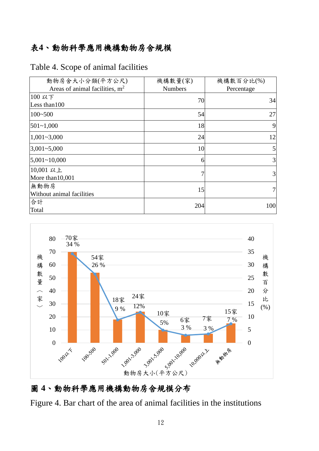### 表**4**、動物科學應用機構動物房舍規模

#### Table 4. Scope of animal facilities

| 動物房舍大小分類(平方公尺)                   | 機構數量(家)        | 機構數百分比(%)  |
|----------------------------------|----------------|------------|
| Areas of animal facilities, $m2$ | <b>Numbers</b> | Percentage |
| 100 以下                           | 70             | 34         |
| Less than 100                    |                |            |
| $100 - 500$                      | 54             | 27         |
| $501 - 1,000$                    | 18             | 9          |
| $1,001 - 3,000$                  | 24             | 12         |
| $3,001 - 5,000$                  | 10             | 5          |
| 5,001~10,000                     | 6              | 3          |
| 10,001 以上                        | 7              | 3          |
| More than 10,001                 |                |            |
| 無動物房                             | 15             |            |
| Without animal facilities        |                |            |
| 合計                               | 204            | 100        |
| Total                            |                |            |



## 圖 **4**、動物科學應用機構動物房舍規模分布

Figure 4. Bar chart of the area of animal facilities in the institutions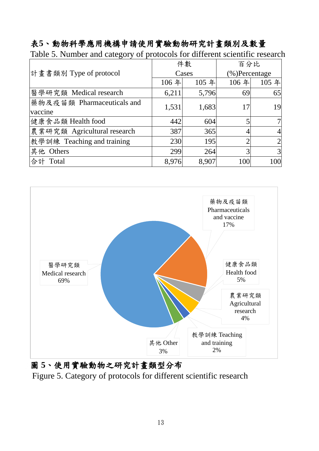## 表**5**、動物科學應用機構申請使用實驗動物研究計畫類別及數量

|                             |       | 件數    | 百分比            |      |  |
|-----------------------------|-------|-------|----------------|------|--|
| 計畫書類別 Type of protocol      |       | Cases | (%)Percentage  |      |  |
|                             | 106年  | 105 年 | 106年           | 105年 |  |
| 醫學研究類 Medical research      | 6,211 | 5,796 | 69             | 65   |  |
| 藥物及疫苗類 Pharmaceuticals and  | 1,531 | 1,683 | 17             | 19   |  |
| vaccine                     |       |       |                |      |  |
| 健康食品類 Health food           | 442   | 604   | 5              |      |  |
| 農業研究類 Agricultural research | 387   | 365   |                |      |  |
| 教學訓練 Teaching and training  | 230   | 195   | $\overline{2}$ |      |  |
| 其他 Others                   | 299   | 264   | 3              | 3    |  |
| 合計<br>Total                 | 8,976 | 8,907 | 100            | 100  |  |

Table 5. Number and category of protocols for different scientific research



圖 **5**、使用實驗動物之研究計畫類型分布 Figure 5. Category of protocols for different scientific research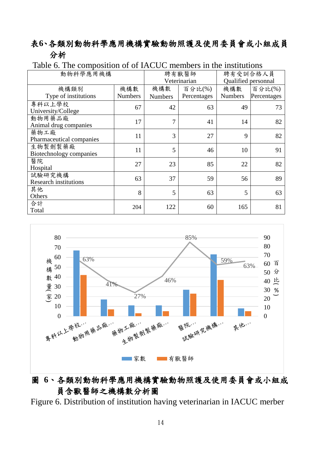#### 表**6**、各類別動物科學應用機構實驗動物照護及使用委員會或小組成員 分析

| 動物科學應用機構                               |                | 聘有獸醫師          | 聘有受訓合格人員     |                     |             |  |
|----------------------------------------|----------------|----------------|--------------|---------------------|-------------|--|
|                                        |                |                | Veterinarian | Qualified personnal |             |  |
| 機構類別                                   | 機構數            | 機構數            | 百分比(%)       | 機構數                 | 百分比(%)      |  |
| Type of institutions                   | <b>Numbers</b> | <b>Numbers</b> | Percentages  | <b>Numbers</b>      | Percentages |  |
| 專科以上學校<br>University/College           | 67             | 42             | 63           | 49                  | 73          |  |
| 動物用藥品廠<br>Animal drug companies        | 17             | $\overline{7}$ | 41           | 14                  | 82          |  |
| 藥物工廠<br>Pharmaceutical companies       | 11             | 3              | 27           | 9                   | 82          |  |
| 生物製劑製藥廠<br>Biotechnology companies     | 11             | 5              | 46           | 10                  | 91          |  |
| 醫院<br>Hospital                         | 27             | 23             | 85           | 22                  | 82          |  |
| 試驗研究機構<br><b>Research institutions</b> | 63             | 37             | 59           | 56                  | 89          |  |
| 其他<br>Others                           | 8              | 5              | 63           | 5                   | 63          |  |
| 合計<br>Total                            | 204            | 122            | 60           | 165                 | 81          |  |

#### Table 6. The composition of of IACUC members in the institutions



#### 圖 **6**、各類別動物科學應用機構實驗動物照護及使用委員會或小組成 員含獸醫師之機構數分析圖

Figure 6. Distribution of institution having veterinarian in IACUC merber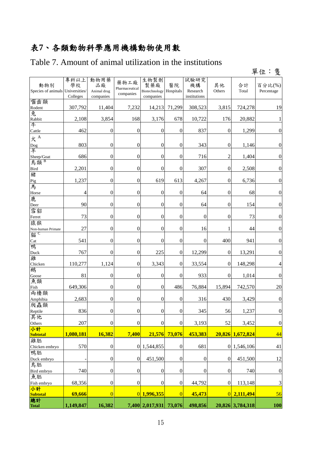# 表**7**、各類動物科學應用機構動物使用數

## Table 7. Amount of animal utilization in the institutions

|                           |                                         |                                        |                                     |                                                     |                                      |                                        |                  |                  | 單位:隻                 |
|---------------------------|-----------------------------------------|----------------------------------------|-------------------------------------|-----------------------------------------------------|--------------------------------------|----------------------------------------|------------------|------------------|----------------------|
| 動物別<br>Species of animals | 專科以上<br>學校<br>Universities/<br>Colleges | 動物用藥<br>品廠<br>Animal drug<br>companies | 藥物工廠<br>Pharmaceutical<br>companies | 生物製劑<br>製藥廠<br>Biotechnology Hospitals<br>companies | 醫院                                   | 試驗研究<br>機構<br>Research<br>institutions | 其他<br>Others     | 合計<br>Total      | 百分比(%)<br>Percentage |
| 囓齒類<br>Rodent             | 307,792                                 | 11,404                                 | 7,232                               | 14,213                                              | 71,299                               | 308,523                                | 3,815            | 724,278          | 19                   |
| 兔                         |                                         |                                        |                                     |                                                     |                                      |                                        |                  |                  |                      |
| Rabbit<br>牛               | 2,108                                   | 3,854                                  | 168                                 | 3,176                                               | 678                                  | 10,722                                 | 176              | 20,882           | 1                    |
| Cattle                    | 462                                     | $\boldsymbol{0}$                       | $\boldsymbol{0}$                    | $\boldsymbol{0}$                                    | $\boldsymbol{0}$                     | 837                                    | $\boldsymbol{0}$ | 1,299            | $\boldsymbol{0}$     |
| 犬 $A$<br>Dog<br>羊         | 803                                     | $\boldsymbol{0}$                       | $\boldsymbol{0}$                    | $\boldsymbol{0}$                                    | $\boldsymbol{0}$                     | 343                                    | $\boldsymbol{0}$ | 1,146            | $\boldsymbol{0}$     |
|                           |                                         |                                        |                                     |                                                     |                                      |                                        |                  |                  |                      |
| Sheep/Goat<br>鳥類          | 686                                     | $\boldsymbol{0}$                       | $\boldsymbol{0}$                    | $\boldsymbol{0}$                                    | $\boldsymbol{0}$<br>$\boldsymbol{0}$ | 716                                    | $\overline{c}$   | 1,404            | $\boldsymbol{0}$     |
| <b>Bird</b><br>豬          | 2,201                                   | $\boldsymbol{0}$                       | $\boldsymbol{0}$                    | $\boldsymbol{0}$                                    |                                      | 307                                    | $\boldsymbol{0}$ | 2,508            | $\boldsymbol{0}$     |
| Pig                       | 1,237                                   | $\boldsymbol{0}$                       | $\boldsymbol{0}$                    | 619                                                 | 613                                  | 4,267                                  | $\boldsymbol{0}$ | 6,736            | $\boldsymbol{0}$     |
| 馬<br>Horse                | $\overline{4}$                          | $\boldsymbol{0}$                       | $\boldsymbol{0}$                    | $\boldsymbol{0}$                                    | $\boldsymbol{0}$                     | 64                                     | $\boldsymbol{0}$ | 68               | $\boldsymbol{0}$     |
| 鹿<br>Deer                 | 90                                      | $\boldsymbol{0}$                       | $\boldsymbol{0}$                    | $\boldsymbol{0}$                                    | $\overline{0}$                       | 64                                     | $\boldsymbol{0}$ | 154              | $\boldsymbol{0}$     |
| 雪貂<br>Ferret              | 73                                      | $\boldsymbol{0}$                       | $\boldsymbol{0}$                    | $\boldsymbol{0}$                                    | $\boldsymbol{0}$                     | $\boldsymbol{0}$                       | $\boldsymbol{0}$ | 73               | $\boldsymbol{0}$     |
| 猿猴<br>Non-human Primate   | 27                                      | $\boldsymbol{0}$                       | $\boldsymbol{0}$                    | $\boldsymbol{0}$                                    | $\boldsymbol{0}$                     | 16                                     | 1                | 44               | $\boldsymbol{0}$     |
| 貓 <sup>C</sup><br>Cat     | 541                                     | $\boldsymbol{0}$                       | $\boldsymbol{0}$                    | $\boldsymbol{0}$                                    | $\boldsymbol{0}$                     | $\boldsymbol{0}$                       | 400              | 941              | $\boldsymbol{0}$     |
| 鴨<br>Duck                 | 767                                     | $\boldsymbol{0}$                       | $\boldsymbol{0}$                    | 225                                                 | $\boldsymbol{0}$                     | 12,299                                 | $\boldsymbol{0}$ | 13,291           | $\boldsymbol{0}$     |
| 雞<br>Chicken              | 110,277                                 | 1,124                                  | $\boldsymbol{0}$                    | 3,343                                               | $\overline{0}$                       | 33,554                                 | $\theta$         | 148,298          | 4                    |
| 鵝<br>Goose                | 81                                      | $\boldsymbol{0}$                       | $\boldsymbol{0}$                    | $\boldsymbol{0}$                                    | $\boldsymbol{0}$                     | 933                                    | $\overline{0}$   | 1,014            | $\boldsymbol{0}$     |
| 魚類<br>Fish                | 649,306                                 | $\boldsymbol{0}$                       | $\boldsymbol{0}$                    | $\theta$                                            | 486                                  | 76,884                                 | 15,894           | 742,570          | 20                   |
| 兩棲類<br>Amphibia           | 2,683                                   | 0                                      | $\boldsymbol{0}$                    | $\boldsymbol{0}$                                    | $\boldsymbol{0}$                     | 316                                    | 430              | 3,429            | $\boldsymbol{0}$     |
| 爬蟲類<br>Reptile            | 836                                     | $\overline{0}$                         | $\boldsymbol{0}$                    | $\boldsymbol{0}$                                    | $\mathbf{0}$                         | 345                                    | 56               | 1,237            | $\boldsymbol{0}$     |
| 其他<br>Others              | 207                                     | $\boldsymbol{0}$                       | $\boldsymbol{0}$                    | $\boldsymbol{0}$                                    | $\overline{0}$                       | 3,193                                  | 52               | 3,452            | $\boldsymbol{0}$     |
| 小計<br>Subtotal            | 1,080,181                               | 16,382                                 | 7,400                               | 21,576                                              | 73,076                               | 453,383                                |                  | 20,826 1,672,824 | 44                   |
| 雞胚                        |                                         |                                        |                                     |                                                     |                                      |                                        |                  |                  |                      |
| Chicken embryo            | 570                                     | $\boldsymbol{0}$                       |                                     | 0 1,544,855                                         | $\boldsymbol{0}$                     | 681                                    |                  | 0 1,546,106      | 41                   |
| 鴨胚<br>Duck embryo         |                                         | $\boldsymbol{0}$                       | $\boldsymbol{0}$                    | 451,500                                             | $\boldsymbol{0}$                     | $\boldsymbol{0}$                       | $\boldsymbol{0}$ | 451,500          | 12                   |
| 鳥胚<br>Bird embryo         | 740                                     | $\boldsymbol{0}$                       | $\boldsymbol{0}$                    | $\boldsymbol{0}$                                    | $\boldsymbol{0}$                     | $\boldsymbol{0}$                       | $\boldsymbol{0}$ | 740              | $\boldsymbol{0}$     |
| 魚胚<br>Fish embryo         | 68,356                                  | $\boldsymbol{0}$                       | $\boldsymbol{0}$                    | $\boldsymbol{0}$                                    | $\boldsymbol{0}$                     | 44,792                                 | $\boldsymbol{0}$ | 113,148          | $\mathfrak{Z}$       |
| 小計                        |                                         |                                        |                                     |                                                     |                                      |                                        |                  |                  |                      |
| <b>Subtotal</b><br>總計     | 69,666                                  | $\overline{0}$                         |                                     | 0 1,996,355                                         | $\overline{0}$                       | 45,473                                 |                  | $0$ 2,111,494    | 56                   |
| <b>Total</b>              | 1,149,847                               | 16,382                                 |                                     | 7,400 2,017,931                                     | 73,076                               | 498,856                                |                  | 20,826 3,784,318 | <b>100</b>           |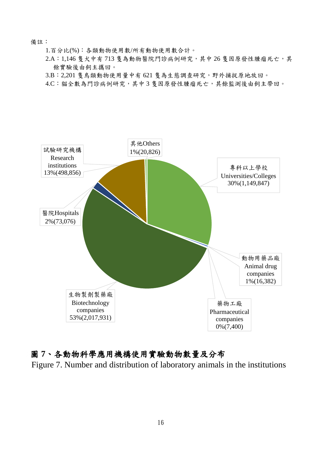備註:

1.百分比(%):各類動物使用數/所有動物使用數合計。

- $2.A:1,146$  隻犬中有 713 隻為動物醫院門診病例研究,其中 26 隻因原發性腫瘤死亡,其 餘實驗後由飼主攜回。
- 3.B:2,201 隻鳥類動物使用量中有 621 隻為生態調查研究,野外捕捉原地放回。

4.C:貓全數為門診病例研究,其中 3 隻因原發性腫瘤死亡,其餘監測後由飼主帶回。



#### 圖 **7**、各動物科學應用機構使用實驗動物數量及分布

Figure 7. Number and distribution of laboratory animals in the institutions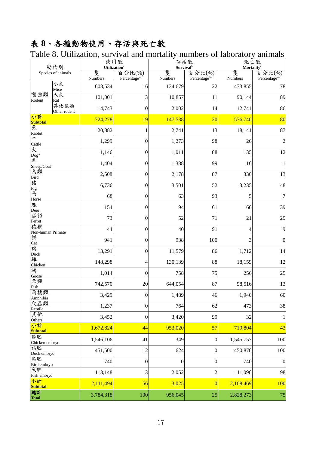# 表 **8**、各種動物使用、存活與死亡數

|                                       | 動物別                  |              | 使用數<br>Utilization <sup>a</sup>     | 存活數<br>Survival <sup>b</sup> |                                     | 死亡數<br>Mortality <sup>c</sup> |                                     |  |
|---------------------------------------|----------------------|--------------|-------------------------------------|------------------------------|-------------------------------------|-------------------------------|-------------------------------------|--|
|                                       | Species of animals   | 隻<br>Numbers | 百分比(%)<br>Percentage <sup>a/t</sup> | 隻<br>Numbers                 | 百分比(%)<br>Percentage <sup>b/a</sup> | 隻<br>Numbers                  | 百分比(%)<br>Percentage <sup>c/a</sup> |  |
|                                       | 小鼠<br>Mice           | 608,534      | 16                                  | 134,679                      | 22                                  | 473,855                       | 78                                  |  |
| 囓齒類<br>Rodent                         | 大鼠<br>Rat            | 101,001      | 3                                   | 10,857                       | 11                                  | 90,144                        | 89                                  |  |
|                                       | 其他鼠類<br>Other rodent | 14,743       | $\boldsymbol{0}$                    | 2,002                        | 14                                  | 12,741                        | 86                                  |  |
| 小計<br><b>Subtotal</b>                 |                      | 724,278      | 19                                  | 147,538                      | 20                                  | 576,740                       | 80                                  |  |
| 兔<br>Rabbit                           |                      | 20,882       | 1                                   | 2,741                        | 13                                  | 18,141                        | 87                                  |  |
| 牛<br>Cattle                           |                      | 1,299        | $\boldsymbol{0}$                    | 1,273                        | 98                                  | 26                            | $\overline{2}$                      |  |
| 犬                                     |                      | 1,146        | $\boldsymbol{0}$                    | 1,011                        | 88                                  | 135                           | 12                                  |  |
| Dog <sup>A</sup><br>羊<br>Sheep/Goat   |                      | 1,404        | $\boldsymbol{0}$                    | 1,388                        | 99                                  | 16                            | 1                                   |  |
| 鳥類<br><b>Bird</b>                     |                      | 2,508        | $\boldsymbol{0}$                    | 2,178                        | 87                                  | 330                           | 13                                  |  |
| 豬                                     |                      | 6,736        | $\boldsymbol{0}$                    | 3,501                        | 52                                  | 3,235                         | 48                                  |  |
| Pig<br>馬<br>Horse                     |                      | 68           | $\boldsymbol{0}$                    | 63                           | 93                                  | 5                             | 7                                   |  |
| 鹿<br>Deer                             |                      | 154          | $\boldsymbol{0}$                    | 94                           | 61                                  | 60                            | 39                                  |  |
| 雪貂<br>Ferret                          |                      | 73           | $\boldsymbol{0}$                    | 52                           | 71                                  | 21                            | 29                                  |  |
| 猿猴<br>Non-human Primate               |                      | 44           | $\boldsymbol{0}$                    | 40                           | 91                                  | 4                             | $\overline{9}$                      |  |
| 貓<br>Cat                              |                      | 941          | $\boldsymbol{0}$                    | 938                          | 100                                 | 3                             | $\boldsymbol{0}$                    |  |
| 鴨<br>Duck                             |                      | 13,291       | $\boldsymbol{0}$                    | 11,579                       | 86                                  | 1,712                         | 14                                  |  |
| 雞<br>Chicken                          |                      | 148,298      | 4                                   | 130,139                      | 88                                  | 18,159                        | 12                                  |  |
| 鵝<br>Goose                            |                      | 1,014        | $\boldsymbol{0}$                    | 758                          | 75                                  | 256                           | $25\,$                              |  |
| 魚類<br>Fish                            |                      | 742,570      | 20                                  | 644,054                      | 87                                  | 98,516                        | 13                                  |  |
| 兩棲類                                   |                      | 3,429        | $\boldsymbol{0}$                    | 1,489                        | 46                                  | 1,940                         | 60                                  |  |
| Amphibia<br>爬蟲類<br>Reptile            |                      | 1,237        | $\boldsymbol{0}$                    | 764                          | 62                                  | 473                           | 38                                  |  |
| 其他<br>Others                          |                      | 3,452        | $\boldsymbol{0}$                    | 3,420                        | 99                                  | 32                            | $\mathbf{1}$                        |  |
| 小計<br>Subtotal                        |                      | 1,672,824    | 44                                  | 953,020                      | 57                                  | 719,804                       | 43                                  |  |
| 雞胚<br>Chicken embryo                  |                      | 1,546,106    | 41                                  | 349                          | $\boldsymbol{0}$                    | 1,545,757                     | 100                                 |  |
| 鴨胚<br>Duck embryo                     |                      | 451,500      | 12                                  | 624                          | $\boldsymbol{0}$                    | 450,876                       | 100                                 |  |
| 鳥胚<br>Bird embryo                     |                      | 740          | $\boldsymbol{0}$                    | $\boldsymbol{0}$             | $\boldsymbol{0}$                    | 740                           | $\boldsymbol{0}$                    |  |
| 魚胚                                    |                      | 113,148      | 3                                   | 2,052                        | $\overline{c}$                      | 111,096                       | 98                                  |  |
| Fish embryo<br>小計                     |                      | 2,111,494    | 56                                  | 3,025                        | $\overline{0}$                      | 2,108,469                     | 100                                 |  |
| <b>Subtotal</b><br>總計<br><b>Total</b> |                      | 3,784,318    | 100                                 | 956,045                      | 25                                  | 2,828,273                     | $75\,$                              |  |

Table 8. Utilization, survival and mortality numbers of laboratory animals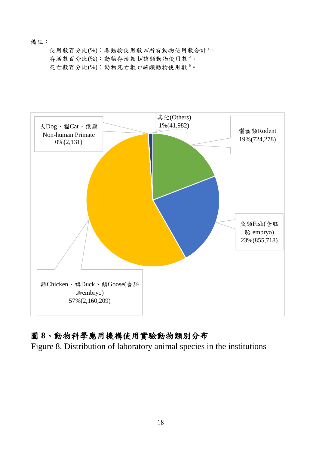#### 備註:

使用數百分比(%):各動物使用數 a/所有動物使用數合計<sup>t。</sup> 存活數百分比(%):動物存活數 b/該類動物使用數<sup>a。</sup> 死亡數百分比(%):動物死亡數 c/該類動物使用數<sup>a。</sup>



#### 圖 **8**、動物科學應用機構使用實驗動物類別分布

Figure 8. Distribution of laboratory animal species in the institutions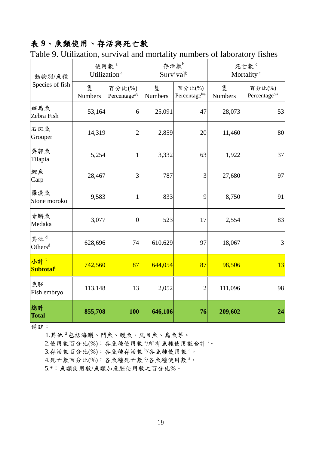## 表 **9**、魚類使用、存活與死亡數

| 動物別/魚種                                 |                     | 使用數 <sup>。</sup><br>Utilization <sup>a</sup> |              | 存活數 <sup>b</sup><br>Survival <sup>b</sup> | 死亡數 <sup>。</sup><br>Mortality <sup>c</sup> |                                     |  |
|----------------------------------------|---------------------|----------------------------------------------|--------------|-------------------------------------------|--------------------------------------------|-------------------------------------|--|
| Species of fish                        | 隻<br><b>Numbers</b> | 百分比(%)<br>Percentage <sup>a/t</sup>          | 隻<br>Numbers | 百分比(%)<br>Percentage <sup>b/a</sup>       | 隻<br>Numbers                               | 百分比(%)<br>Percentage <sup>c/a</sup> |  |
| 斑馬魚<br>Zebra Fish                      | 53,164              | 6                                            | 25,091       | 47                                        | 28,073                                     | 53                                  |  |
| 石斑魚<br>Grouper                         | 14,319              | $\overline{c}$                               | 2,859        | 20                                        | 11,460                                     | 80                                  |  |
| 吳郭魚<br>Tilapia                         | 5,254               | 1                                            | 3,332        | 63                                        | 1,922                                      | 37                                  |  |
| 鯉魚<br>Carp                             | 28,467              | 3                                            | 787          | 3                                         | 27,680                                     | 97                                  |  |
| 羅漢魚<br>Stone moroko                    | 9,583               | 1                                            | 833          | 9                                         | 8,750                                      | 91                                  |  |
| 青鱂魚<br>Medaka                          | 3,077               | $\overline{0}$                               | 523          | 17                                        | 2,554                                      | 83                                  |  |
| 其他 <sup>d</sup><br>Others <sup>d</sup> | 628,696             | 74                                           | 610,629      | 97                                        | 18,067                                     | 3                                   |  |
| 小計!<br>Subtotal <sup>t</sup>           | 742,560             | 87                                           | 644,054      | 87                                        | 98,506                                     | 13                                  |  |
| 魚胚<br>Fish embryo                      | 113,148             | 13                                           | 2,052        | $\overline{c}$                            | 111,096                                    | 98                                  |  |
| 總計<br><b>Total</b>                     | 855,708             | 100                                          | 646,106      | 76                                        | 209,602                                    | 24                                  |  |

Table 9. Utilization, survival and mortality numbers of laboratory fishes

備註:

1.其他 <sup>d</sup> 包括海鱺、鬥魚、鰻魚、虱目魚、烏魚等。

2.使用數百分比(%):各魚種使用數 3/所有魚種使用數合計<sup>t。</sup>

3.存活數百分比(%):各魚種存活數 <sup>b</sup>/各魚種使用數 <sup>a</sup>。

4.死亡數百分比(%):各魚種死亡數 5/各魚種使用數 a。

5.\*:魚類使用數/魚類加魚胚使用數之百分比%。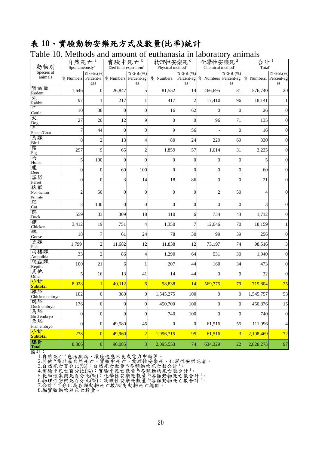#### 表 **10**、實驗動物安樂死方式及數量**(**比率**)**統計

#### Table 10. Methods and amount of euthanasia in laboratory animals

| raoic To. Mcthods and amount or cumanasia in iaboratory annihais<br>動物別 | 自然死亡 <sup>。</sup><br>Spontaneously <sup>a</sup> |                         | 實驗中死亡 <sup>b</sup><br>Died in the experiment <sup>b</sup> |                  | 物理性安樂死 <sup>。</sup><br>Physical method <sup>c</sup> |                            | 化學性安樂死。<br>Chemical method <sup>d</sup> |                  | 合計<br>Total <sup>t</sup> |                          |
|-------------------------------------------------------------------------|-------------------------------------------------|-------------------------|-----------------------------------------------------------|------------------|-----------------------------------------------------|----------------------------|-----------------------------------------|------------------|--------------------------|--------------------------|
| Species of<br>animals                                                   | 隻 Numbers Percent-a                             | 百分比(%)<br>ges           | 隻 Numbers Percent-ag                                      | 百分比(%)<br>es     | 隻 Numbers.                                          | 百分比(%)<br>Percent-ag<br>es | 隻 Numbers Percent-ag                    | 百分比(%)<br>es     | 隻 Numbers. Percent-ag    | 百分比(%)<br>es             |
| 囓齒類<br>Rodent                                                           | 1,646                                           | $\boldsymbol{0}$        | 26,847                                                    | 5                | 81,552                                              | 14                         | 466,695                                 | 81               | 576,740                  | 20                       |
| 兔<br>Rabbit                                                             | 97                                              | 1                       | 217                                                       |                  | 417                                                 | $\overline{2}$             | 17,410                                  | 96               | 18,141                   |                          |
| 牛<br>Cattle                                                             | 10                                              | 38                      | $\mathbf{0}$                                              | $\theta$         | 16                                                  | 62                         | $\overline{0}$                          | $\theta$         | 26                       | $\mathbf{0}$             |
| 犬                                                                       | 27                                              | 20                      | 12                                                        | 9                | $\boldsymbol{0}$                                    | $\theta$                   | 96                                      | 71               | 135                      | $\mathbf{0}$             |
| Dog<br>羊<br>Sheep/Goat                                                  | 7                                               | 44                      | $\boldsymbol{0}$                                          | $\overline{0}$   | 9                                                   | 56                         |                                         | $\boldsymbol{0}$ | 16                       | $\boldsymbol{0}$         |
| 鳥類<br>Bird                                                              | 8                                               | $\overline{\mathbf{c}}$ | 13                                                        | 4                | 80                                                  | 24                         | 229                                     | 69               | 330                      | $\boldsymbol{0}$         |
| 豬                                                                       | 297                                             | 9                       | 65                                                        | 2                | 1,859                                               | 57                         | 1,014                                   | 31               | 3,235                    | $\boldsymbol{0}$         |
| Pig<br>馬<br>Horse                                                       | 5                                               | 100                     | $\overline{0}$                                            | $\overline{0}$   | $\mathbf{0}$                                        | $\theta$                   | $\mathbf{0}$                            | $\boldsymbol{0}$ | 5                        | $\boldsymbol{0}$         |
| 鹿<br>Deer                                                               | $\boldsymbol{0}$                                | $\boldsymbol{0}$        | 60                                                        | 100              | $\boldsymbol{0}$                                    | $\overline{0}$             | $\boldsymbol{0}$                        | $\boldsymbol{0}$ | 60                       | $\boldsymbol{0}$         |
| 雪貂<br>Ferret                                                            | $\theta$                                        | $\overline{0}$          | 3                                                         | 14               | 18                                                  | 86                         | $\mathbf{0}$                            | $\overline{0}$   | 21                       | $\theta$                 |
| 猿猴<br>Non-human<br>Primate                                              | 2                                               | 50                      | $\overline{0}$                                            | $\mathbf{0}$     | $\boldsymbol{0}$                                    | $\overline{0}$             | $\overline{c}$                          | 50               | 4                        | $\mathbf{0}$             |
| 貓<br>Cat                                                                | 3                                               | 100                     | $\overline{0}$                                            | $\mathbf{0}$     | $\overline{0}$                                      | $\theta$                   | $\overline{0}$                          | $\mathbf{0}$     | 3                        | $\boldsymbol{0}$         |
| 鴨<br>Duck                                                               | 559                                             | 33                      | 309                                                       | 18               | 110                                                 | 6                          | 734                                     | 43               | 1,712                    | $\boldsymbol{0}$         |
| 雞<br>Chicken                                                            | 3,412                                           | 19                      | 751                                                       | 4                | 1,350                                               | 7                          | 12,646                                  | 70               | 18,159                   |                          |
| 鵝<br>Goose                                                              | 18                                              | $\boldsymbol{7}$        | 61                                                        | 24               | 78                                                  | 30                         | 99                                      | 39               | 256                      | $\mathbf{0}$             |
| 魚類<br>Fish                                                              | 1,799                                           | $\overline{c}$          | 11,682                                                    | 12               | 11,838                                              | 12                         | 73,197                                  | 74               | 98,516                   | 3                        |
| 兩棲類<br>Amphibia                                                         | 33                                              | $\overline{c}$          | 86                                                        | 4                | 1,290                                               | 64                         | 531                                     | 30               | 1,940                    | $\boldsymbol{0}$         |
| 爬蟲類<br>Reptile                                                          | 100                                             | 21                      | 6                                                         | 1                | 207                                                 | 44                         | 160                                     | 34               | 473                      | $\boldsymbol{0}$         |
| 其他<br>Other                                                             | 5                                               | 16                      | 13                                                        | 41               | 14                                                  | 44                         | $\boldsymbol{0}$                        | $\boldsymbol{0}$ | 32                       | $\boldsymbol{0}$         |
| 小計<br><b>Subtotal</b>                                                   | 8,028                                           | $\mathbf{1}$            | 40,112                                                    | 6                | 98,838                                              | 14                         | 569,775                                 | 79               | 719,804                  | 25                       |
| 雞胚<br>Chicken embryo                                                    | 102                                             | $\overline{0}$          | 380                                                       | $\overline{0}$   | 1,545,275                                           | 100                        | $\mathbf{0}$                            | $\boldsymbol{0}$ | 1,545,757                | 53                       |
| 鴨胚<br>Duck embryo                                                       | 176                                             | $\boldsymbol{0}$        | $\mathbf{0}$                                              | $\boldsymbol{0}$ | 450,700                                             | 100                        | $\boldsymbol{0}$                        | $\boldsymbol{0}$ | 450,876                  | 15                       |
| 鳥胚<br>Bird embryo                                                       | $\boldsymbol{0}$                                | $\boldsymbol{0}$        | $\boldsymbol{0}$                                          | $\boldsymbol{0}$ | 740                                                 | 100                        | $\boldsymbol{0}$                        | $\boldsymbol{0}$ | 740                      | $\boldsymbol{0}$         |
| 魚胚<br>Fish embryo                                                       | $\boldsymbol{0}$                                | $\mathbf{0}$            | 49,580                                                    | 45               | $\mathbf{0}$                                        | $\boldsymbol{0}$           | 61,516                                  | 55               | 111,096                  | $\overline{\mathcal{A}}$ |
| 小計<br><b>Subtotal</b>                                                   | 278                                             | $\overline{0}$          | 49,960                                                    | $\overline{2}$   | 1,996,715                                           | 95                         | 61,516                                  | 3                | 2,108,469                | 72                       |
| 總計<br><b>Total</b>                                                      | 8,306                                           | $\boldsymbol{0}$        | 90,085                                                    | 3                | 2,095,553                                           | 74                         | 634,329                                 | 22               | 2,828,273                | 97                       |

備註:

1.自然死亡<sup>a</sup>包括疾病、環境適應不良或電力中斷等。

2.其他 <sup>b</sup>指非屬自然死亡、實驗中死亡、物理性安樂死、化學性安樂死者。

3.自然死亡百分比(%):自然死亡數量 多類動物死亡數合計 f。

4.實驗中死亡百分比(%):實驗中死亡數量 多類動物死亡數合計'。

5.化學性案樂死百分比(%):化學性安樂死數量 多類動物死亡數合計 f。

6.物理性安樂死百分比(%): 物理性安樂死數量 9各類動物死亡數合計 f。

7.合計 <sup>c</sup>百分比為各類動物死亡數/所有動物死亡總數。

8.貓實驗動物無死亡數量。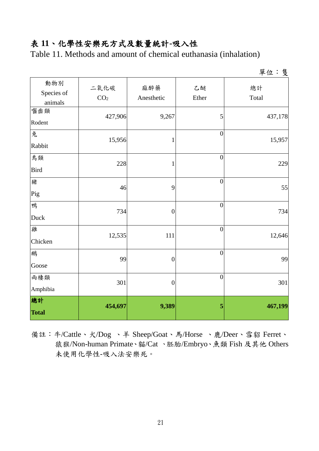#### 表 **11**、化學性安樂死方式及數量統計**-**吸入性

Table 11. Methods and amount of chemical euthanasia (inhalation)

|                              |                         |                   |                  | 單位:隻        |
|------------------------------|-------------------------|-------------------|------------------|-------------|
| 動物別<br>Species of<br>animals | 二氧化碳<br>CO <sub>2</sub> | 麻醉藥<br>Anesthetic | 乙醚<br>Ether      | 總計<br>Total |
| 囓齒類<br>Rodent                | 427,906                 | 9,267             | 5                | 437,178     |
| 兔<br>Rabbit                  | 15,956                  | 1                 | $\overline{0}$   | 15,957      |
| 鳥類<br><b>Bird</b>            | 228                     | $\mathbf{1}$      | $\boldsymbol{0}$ | 229         |
| 豬<br>Pig                     | 46                      | 9                 | $\boldsymbol{0}$ | 55          |
| 鴨<br>Duck                    | 734                     | $\overline{0}$    | $\overline{0}$   | 734         |
| 雞<br>Chicken                 | 12,535                  | 111               | $\overline{0}$   | 12,646      |
| 鵝<br>Goose                   | 99                      | $\overline{0}$    | $\overline{0}$   | 99          |
| 兩棲類<br>Amphibia              | 301                     | $\overline{0}$    | $\overline{0}$   | 301         |
| 總計<br><b>Total</b>           | 454,697                 | 9,389             | 5                | 467,199     |

備註:牛/Cattle、犬/Dog 、羊 Sheep/Goat、馬/Horse 、鹿/Deer、雪貂 Ferret、 猿猴/Non-human Primate、貓/Cat 、胚胎/Embryo、魚類 Fish 及其他 Others 未使用化學性-吸入法安樂死。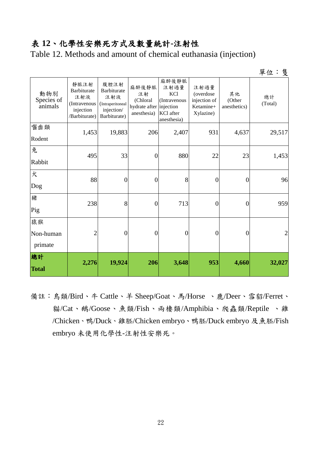#### 表 **12**、化學性安樂死方式及數量統計**-**注射性

Table 12. Methods and amount of chemical euthanasia (injection)

單位:隻

| 動物別<br>Species of<br>animals | 靜脈注射<br>Barbiturate<br>注射液<br>(Intravenous<br>injection<br>/Barbiturate) | 腹腔注射<br>Barbiturate<br>注射液<br>(Intraperitoneal<br>injection/<br>Barbiturate) | 麻醉後靜脈<br>注射<br>(Chloral<br>hydrate after injection<br>anesthesia) | 麻醉後靜脈<br>注射過量<br>KCl<br>(Intravenous<br>KCl after<br>anesthesia) | 注射過量<br>(overdose<br>injection of<br>Ketamine+<br>Xylazine) | 其他<br>(Other<br>anesthetics) | 總計<br>(Total)  |
|------------------------------|--------------------------------------------------------------------------|------------------------------------------------------------------------------|-------------------------------------------------------------------|------------------------------------------------------------------|-------------------------------------------------------------|------------------------------|----------------|
| 囓齒類<br>Rodent                | 1,453                                                                    | 19,883                                                                       | 206                                                               | 2,407                                                            | 931                                                         | 4,637                        | 29,517         |
| 兔<br>Rabbit                  | 495                                                                      | 33                                                                           | $\boldsymbol{0}$                                                  | 880                                                              | 22                                                          | 23                           | 1,453          |
| 犬<br>Dog                     | 88                                                                       | $\overline{0}$                                                               | $\overline{0}$                                                    | 8                                                                | $\overline{0}$                                              | $\overline{0}$               | 96             |
| 豬<br>Pig                     | 238                                                                      | 8                                                                            | $\overline{0}$                                                    | 713                                                              | $\overline{0}$                                              | $\overline{0}$               | 959            |
| 猿猴<br>Non-human<br>primate   | $\overline{2}$                                                           | 0                                                                            | $\boldsymbol{0}$                                                  | $\overline{0}$                                                   | $\overline{0}$                                              | 0                            | $\overline{2}$ |
| 總計<br><b>Total</b>           | 2,276                                                                    | 19,924                                                                       | 206                                                               | 3,648                                                            | 953                                                         | 4,660                        | 32,027         |

備註:鳥類/Bird、牛 Cattle、羊 Sheep/Goat、馬/Horse 、鹿/Deer、雪貂/Ferret、 貓/Cat、鵝/Goose、魚類/Fish、兩棲類/Amphibia、爬蟲類/Reptile 、雞 /Chicken、鴨/Duck、雞胚/Chicken embryo、鴨胚/Duck embryo 及魚胚/Fish embryo 未使用化學性-注射性安樂死。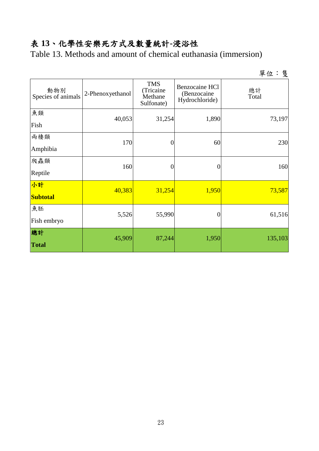# 表 **13**、化學性安樂死方式及數量統計**-**浸浴性

Table 13. Methods and amount of chemical euthanasia (immersion)

|                           |                  |                                                  |                                                 | 單位:隻        |  |
|---------------------------|------------------|--------------------------------------------------|-------------------------------------------------|-------------|--|
| 動物別<br>Species of animals | 2-Phenoxyethanol | <b>TMS</b><br>(Tricaine<br>Methane<br>Sulfonate) | Benzocaine HCl<br>(Benzocaine<br>Hydrochloride) | 總計<br>Total |  |
| 魚類                        | 40,053           | 31,254                                           | 1,890                                           | 73,197      |  |
| Fish                      |                  |                                                  |                                                 |             |  |
| 兩棲類                       | 170              | 0                                                | 60                                              | 230         |  |
| Amphibia                  |                  |                                                  |                                                 |             |  |
| 爬蟲類                       | 160              | 0                                                | $\boldsymbol{0}$                                | 160         |  |
| Reptile                   |                  |                                                  |                                                 |             |  |
| 小計                        | 40,383           | 31,254                                           | 1,950                                           | 73,587      |  |
| <b>Subtotal</b>           |                  |                                                  |                                                 |             |  |
| 魚胚                        | 5,526            | 55,990                                           | $\boldsymbol{0}$                                | 61,516      |  |
| Fish embryo               |                  |                                                  |                                                 |             |  |
| 總計                        | 45,909           | 87,244                                           | 1,950                                           | 135,103     |  |
| <b>Total</b>              |                  |                                                  |                                                 |             |  |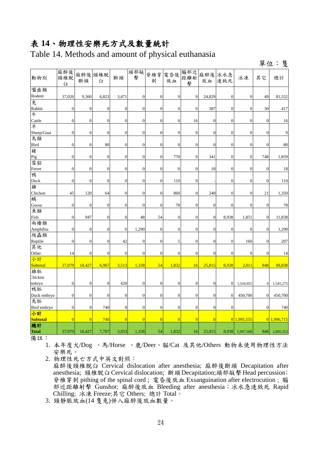#### 表 **14**、物理性安樂死方式及數量統計

Table 14. Methods and amount of physical euthanasia

單位:隻

| 動物別             | 麻醉後<br>頸椎脫<br>臼  | 斷頭               | 麻醉後 頸椎脱<br>臼     | 斷頭               | 頭部敲<br>擊         | 脊椎穿<br>刺         | 電昏後<br>放血        | 腦部近<br>距離射<br>擊  | 麻醉後<br>放血        | 冰水急<br>速致死       | 冰凍               | 其它               | 總計          |
|-----------------|------------------|------------------|------------------|------------------|------------------|------------------|------------------|------------------|------------------|------------------|------------------|------------------|-------------|
| 囓齒類             |                  |                  |                  |                  |                  |                  |                  |                  |                  |                  |                  |                  |             |
| Rodent          | 37,020           | 9,360            | 6,823            | 3,471            | $\boldsymbol{0}$ | $\mathbf{0}$     | $\boldsymbol{0}$ | $\boldsymbol{0}$ | 24,829           | $\mathbf{0}$     | $\boldsymbol{0}$ | 49               | 81,552      |
| 兔               |                  |                  |                  |                  |                  |                  |                  |                  |                  |                  |                  |                  |             |
| Rabbit          | $\boldsymbol{0}$ | $\overline{0}$   | $\boldsymbol{0}$ | $\mathbf{0}$     | $\overline{0}$   | $\overline{0}$   | $\mathbf{0}$     | $\mathbf{0}$     | 387              | $\boldsymbol{0}$ | $\mathbf{0}$     | 30               | 417         |
| 牛               |                  |                  |                  |                  |                  |                  |                  |                  |                  |                  |                  |                  |             |
| Cattle          | $\boldsymbol{0}$ | $\boldsymbol{0}$ | $\boldsymbol{0}$ | $\boldsymbol{0}$ | $\boldsymbol{0}$ | $\mathbf{0}$     | $\mathbf{0}$     | 16               | $\mathbf{0}$     | $\mathbf{0}$     | $\mathbf{0}$     | $\boldsymbol{0}$ | 16          |
| 羊               |                  |                  |                  |                  |                  |                  |                  |                  |                  |                  |                  |                  |             |
| Sheep/Goat      | $\boldsymbol{0}$ | $\mathbf{0}$     | $\boldsymbol{0}$ | $\boldsymbol{0}$ | $\boldsymbol{0}$ | $\boldsymbol{0}$ | 9                | $\mathbf{0}$     | $\boldsymbol{0}$ | $\boldsymbol{0}$ | $\mathbf{0}$     | $\boldsymbol{0}$ | 9           |
| 鳥類              |                  |                  |                  |                  |                  |                  |                  |                  |                  |                  |                  |                  |             |
| Bird            | $\boldsymbol{0}$ | $\mathbf{0}$     | 80               | $\boldsymbol{0}$ | $\boldsymbol{0}$ | $\theta$         | $\theta$         | $\mathbf{0}$     | $\theta$         | $\mathbf{0}$     | $\mathbf{0}$     | $\boldsymbol{0}$ | 80          |
| 豬               |                  |                  |                  |                  |                  |                  |                  |                  |                  |                  |                  |                  |             |
| Pig             | $\boldsymbol{0}$ | $\overline{0}$   | $\boldsymbol{0}$ | $\overline{0}$   | $\overline{0}$   | $\mathbf{0}$     | 770              | $\mathbf{0}$     | 341              | $\overline{0}$   | $\overline{0}$   | 748              | 1,859       |
| 雪貂              |                  |                  |                  |                  |                  |                  |                  |                  |                  |                  |                  |                  |             |
| Ferret          | $\overline{0}$   | $\overline{0}$   | $\mathbf{0}$     | $\overline{0}$   | $\mathbf{0}$     | $\overline{0}$   | $\overline{0}$   | $\overline{0}$   | 18               | $\overline{0}$   | $\mathbf{0}$     | $\overline{0}$   | 18          |
| 鴨               |                  |                  |                  |                  |                  |                  |                  |                  |                  |                  |                  |                  |             |
| Duck            | $\boldsymbol{0}$ | $\mathbf{0}$     | $\mathbf{0}$     | $\boldsymbol{0}$ | $\overline{0}$   | $\overline{0}$   | 110              | $\mathbf{0}$     |                  | $\overline{0}$   | $\mathbf{0}$     | $\boldsymbol{0}$ | 110         |
| 雞               |                  |                  |                  |                  |                  |                  |                  |                  |                  |                  |                  |                  |             |
| Chicken         | 45               | 120              | 64               | $\overline{0}$   | $\overline{0}$   | $\boldsymbol{0}$ | 860              | $\mathbf{0}$     | 240              | $\overline{0}$   | $\overline{0}$   | 21               | 1,350       |
| 鵝               |                  |                  |                  |                  |                  |                  |                  |                  |                  |                  |                  |                  |             |
| Goose           | $\boldsymbol{0}$ | $\mathbf{0}$     | $\boldsymbol{0}$ | $\boldsymbol{0}$ | $\boldsymbol{0}$ | $\boldsymbol{0}$ | 78               | $\boldsymbol{0}$ | $\mathbf{0}$     | $\boldsymbol{0}$ | $\mathbf{0}$     | $\boldsymbol{0}$ | 78          |
| 魚類              |                  |                  |                  |                  |                  |                  |                  |                  |                  |                  |                  |                  |             |
| Fish<br>兩棲類     | $\boldsymbol{0}$ | 947              | $\boldsymbol{0}$ | $\boldsymbol{0}$ | 48               | 54               | $\boldsymbol{0}$ | $\mathbf{0}$     | $\mathbf{0}$     | 8,938            | 1,851            | $\boldsymbol{0}$ | 11,838      |
| Amphibia        | $\boldsymbol{0}$ | $\mathbf{0}$     | $\mathbf{0}$     | $\boldsymbol{0}$ | 1,290            | $\boldsymbol{0}$ | $\boldsymbol{0}$ | $\mathbf{0}$     | $\boldsymbol{0}$ | $\mathbf{0}$     | $\mathbf{0}$     | $\boldsymbol{0}$ | 1,290       |
| 爬蟲類             |                  |                  |                  |                  |                  |                  |                  |                  |                  |                  |                  |                  |             |
| Reptile         | $\boldsymbol{0}$ | $\overline{0}$   | $\overline{0}$   | 42               | $\overline{0}$   | $\overline{0}$   | 5                | $\overline{0}$   | $\overline{0}$   | $\overline{0}$   | 160              | $\mathbf{0}$     | 207         |
| 其他              |                  |                  |                  |                  |                  |                  |                  |                  |                  |                  |                  |                  |             |
| Other           | 14               | $\overline{0}$   | $\overline{0}$   | $\theta$         | $\overline{0}$   | $\mathbf{0}$     | $\mathbf{0}$     | $\overline{0}$   | $\overline{0}$   | $\overline{0}$   | $\overline{0}$   | $\mathbf{0}$     | 14          |
| 小計              |                  |                  |                  |                  |                  |                  |                  |                  |                  |                  |                  |                  |             |
| Subtotal        | 37,079           | 10,427           | 6,967            | 3,513            | 1,338            | 54               | 1,832            | 16               | 25,815           | 8,938            | 2,011            | 848              | 98,838      |
| 雞胚              |                  |                  |                  |                  |                  |                  |                  |                  |                  |                  |                  |                  |             |
| Chicken         |                  |                  |                  |                  |                  |                  |                  |                  |                  |                  |                  |                  |             |
| embryo          | $\boldsymbol{0}$ | $\mathbf{0}$     | $\boldsymbol{0}$ | 420              | $\boldsymbol{0}$ | $\boldsymbol{0}$ | $\boldsymbol{0}$ | $\boldsymbol{0}$ | $\boldsymbol{0}$ | $\boldsymbol{0}$ | 1,544,855        | $\boldsymbol{0}$ | 1,545,275   |
| 鴨胚              |                  |                  |                  |                  |                  |                  |                  |                  |                  |                  |                  |                  |             |
| Duck embryo     | $\boldsymbol{0}$ | $\boldsymbol{0}$ | $\boldsymbol{0}$ | $\mathbf{0}$     | $\boldsymbol{0}$ | $\boldsymbol{0}$ | $\mathbf{0}$     | $\mathbf{0}$     | $\overline{0}$   | $\boldsymbol{0}$ | 450,700          | $\overline{0}$   | 450,700     |
| 鳥胚              |                  |                  |                  |                  |                  |                  |                  |                  |                  |                  |                  |                  |             |
| Bird embryo     | $\boldsymbol{0}$ | $\mathbf{0}$     | 740              | $\boldsymbol{0}$ | $\mathbf{0}$     | $\boldsymbol{0}$ | $\boldsymbol{0}$ | $\mathbf{0}$     | $\boldsymbol{0}$ | $\boldsymbol{0}$ |                  | $\mathbf{0}$     | 740         |
| 小計              |                  |                  |                  |                  |                  |                  |                  |                  |                  |                  |                  |                  |             |
| <b>Subtotal</b> | $\overline{0}$   | $\overline{0}$   | 740              | $\overline{0}$   | $\overline{0}$   | $\overline{0}$   | $\overline{0}$   | $\overline{0}$   | $\overline{0}$   |                  | $0$ 1,995,555    |                  | 0 1,996,715 |
| 總計              |                  |                  |                  |                  |                  |                  |                  |                  |                  |                  |                  |                  |             |
| <b>Total</b>    | 37,079           | 10,427           | 7,707            | 3,933            | 1,338            | 54               | 1,832            | 16               | 25,815           | 8,938            | 1,997,566        | 848              | 2,095,553   |

備註:

1. 本年度犬/Dog 、馬/Horse 、鹿/Deer、貓/Cat 及其他/Others 動物未使用物理性方法 安樂死。

2. 物理性死亡方式中英文對照: 麻醉後頸椎脫臼 Cervical dislocation after anesthesia; 麻醉後斷頭 Decapitation after anesthesia; 頸椎脫臼Cervical dislocation; 斷頭Decapitation;頭部敲擊Head percussion; 脊椎穿刺 pithing of the spinal cord ; 電昏後放血 Exsanguination after electrocution ; 腦 部近距離射擊 Gunshot; 麻醉後放血 Bleeding after anesthesia; 冰水急速致死 Rapid Chilling; 冰凍 Freeze;其它 Others; 總計 Total。

3. 頸靜脈放血(14 隻兔)併入麻醉後放血數量。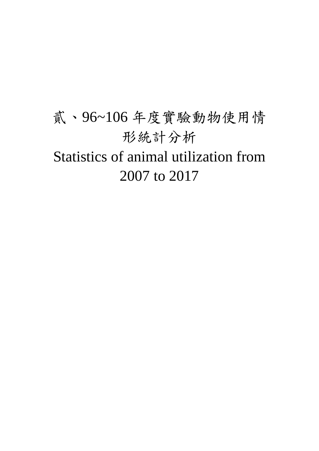# 貳、96~106 年度實驗動物使用情 形統計分析 Statistics of animal utilization from 2007 to 2017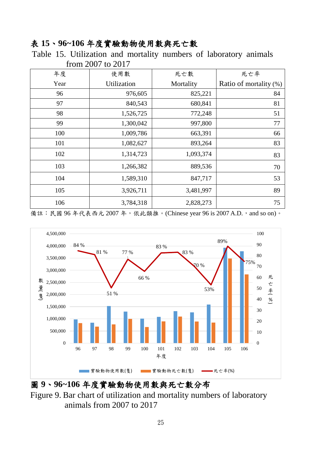#### 表 **15**、**96~106** 年度實驗動物使用數與死亡數

Table 15. Utilization and mortality numbers of laboratory animals from 2007 to 2017

| 年度   | 使用數         | 死亡數       | 死亡率                    |
|------|-------------|-----------|------------------------|
| Year | Utilization | Mortality | Ratio of mortality (%) |
| 96   | 976,605     | 825,221   | 84                     |
| 97   | 840,543     | 680,841   | 81                     |
| 98   | 1,526,725   | 772,248   | 51                     |
| 99   | 1,300,042   | 997,800   | 77                     |
| 100  | 1,009,786   | 663,391   | 66                     |
| 101  | 1,082,627   | 893,264   | 83                     |
| 102  | 1,314,723   | 1,093,374 | 83                     |
| 103  | 1,266,382   | 889,536   | 70                     |
| 104  | 1,589,310   | 847,717   | 53                     |
| 105  | 3,926,711   | 3,481,997 | 89                     |
| 106  | 3,784,318   | 2,828,273 | 75                     |

備註: 民國 96年代表西元 2007年, 依此類推。(Chinese year 96 is 2007 A.D., and so on)。



圖 **9**、**96~106** 年度實驗動物使用數與死亡數分布

Figure 9. Bar chart of utilization and mortality numbers of laboratory animals from 2007 to 2017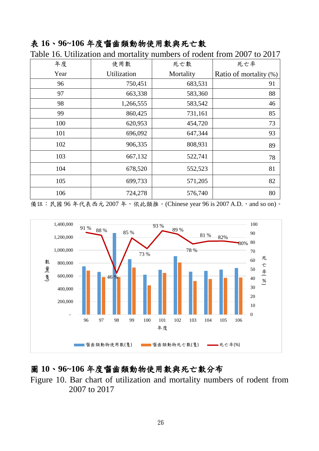#### 表 **16**、**96~106** 年度囓齒類動物使用數與死亡數

| 年度   | 使用數         | 死亡數       | 死亡率                    |  |
|------|-------------|-----------|------------------------|--|
| Year | Utilization | Mortality | Ratio of mortality (%) |  |
| 96   | 750,451     | 683,531   | 91                     |  |
| 97   | 663,338     | 583,360   | 88                     |  |
| 98   | 1,266,555   | 583,542   | 46                     |  |
| 99   | 860,425     | 731,161   | 85                     |  |
| 100  | 620,953     | 454,720   | 73                     |  |
| 101  | 696,092     | 647,344   | 93                     |  |
| 102  | 906,335     | 808,931   | 89                     |  |
| 103  | 667,132     | 522,741   | 78                     |  |
| 104  | 678,520     | 552,523   | 81                     |  |
| 105  | 699,733     | 571,205   | 82                     |  |
| 106  | 724,278     | 576,740   | 80                     |  |

Table 16. Utilization and mortality numbers of rodent from 2007 to 2017

備註: 民國 96年代表西元 2007年, 依此類推。(Chinese year 96 is 2007 A.D., and so on)。



#### 圖 **10**、**96~106** 年度囓齒類動物使用數與死亡數分布

Figure 10. Bar chart of utilization and mortality numbers of rodent from 2007 to 2017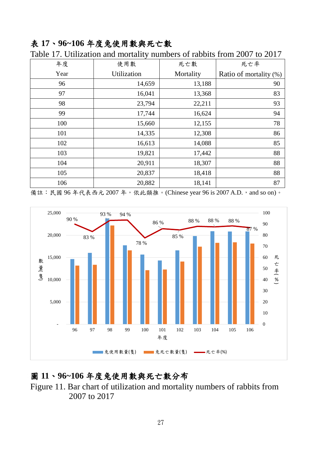#### 表 **17**、**96~106** 年度兔使用數與死亡數

| 年度   | 使用數         | 死亡數       | 死亡率                    |
|------|-------------|-----------|------------------------|
| Year | Utilization | Mortality | Ratio of mortality (%) |
| 96   | 14,659      | 13,188    | 90                     |
| 97   | 16,041      | 13,368    | 83                     |
| 98   | 23,794      | 22,211    | 93                     |
| 99   | 17,744      | 16,624    | 94                     |
| 100  | 15,660      | 12,155    | 78                     |
| 101  | 14,335      | 12,308    | 86                     |
| 102  | 16,613      | 14,088    | 85                     |
| 103  | 19,821      | 17,442    | 88                     |
| 104  | 20,911      | 18,307    | 88                     |
| 105  | 20,837      | 18,418    | 88                     |
| 106  | 20,882      | 18,141    | 87                     |

Table 17. Utilization and mortality numbers of rabbits from 2007 to 2017

備註: 民國 96年代表西元 2007年, 依此類推。(Chinese year 96 is 2007 A.D., and so on)。



#### 圖 **11**、**96~106** 年度兔使用數與死亡數分布

Figure 11. Bar chart of utilization and mortality numbers of rabbits from 2007 to 2017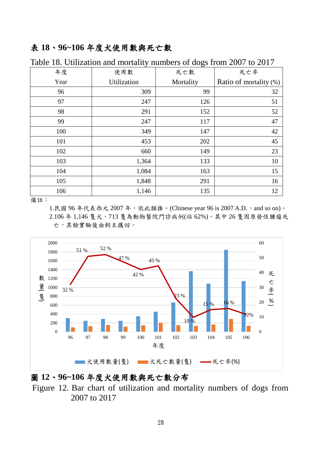#### 表 **18**、**96~106** 年度犬使用數與死亡數

| 年度   | 使用數         | 死亡數       | 死亡率                    |
|------|-------------|-----------|------------------------|
| Year | Utilization | Mortality | Ratio of mortality (%) |
| 96   | 309         | 99        | 32                     |
| 97   | 247         | 126       | 51                     |
| 98   | 291         | 152       | 52                     |
| 99   | 247         | 117       | 47                     |
| 100  | 349         | 147       | 42                     |
| 101  | 453         | 202       | 45                     |
| 102  | 660         | 149       | 23                     |
| 103  | 1,364       | 133       | 10                     |
| 104  | 1,084       | 163       | 15                     |
| 105  | 1,848       | 291       | 16                     |
| 106  | 1,146       | 135       | 12                     |

Table 18. Utilization and mortality numbers of dogs from 2007 to 2017

備註:

1.民國 96年代表西元 2007年, 依此類推。(Chinese year 96 is 2007 A.D., and so on)。 2.106年1,146隻犬,713隻為動物醫院門診病例(佔 62%),其中26隻因原發性腫瘤死 亡,其餘實驗後由飼主攜回。



#### 圖 **12**、**96~106** 年度犬使用數與死亡數分布

Figure 12. Bar chart of utilization and mortality numbers of dogs from 2007 to 2017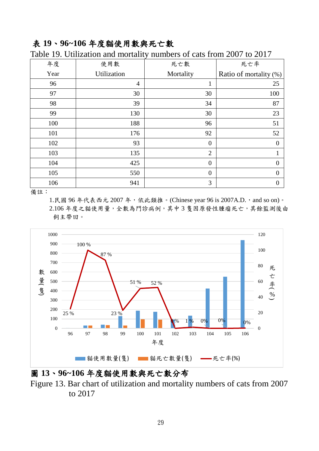#### 表 **19**、**96~106** 年度貓使用數與死亡數

|      |                | ັປ             |                        |
|------|----------------|----------------|------------------------|
| 年度   | 使用數            | 死亡數            | 死亡率                    |
| Year | Utilization    | Mortality      | Ratio of mortality (%) |
| 96   | $\overline{4}$ | $\mathbf{1}$   | 25                     |
| 97   | 30             | 30             | 100                    |
| 98   | 39             | 34             | 87                     |
| 99   | 130            | 30             | 23                     |
| 100  | 188            | 96             | 51                     |
| 101  | 176            | 92             | 52                     |
| 102  | 93             | $\theta$       | $\boldsymbol{0}$       |
| 103  | 135            | $\overline{2}$ | $\mathbf{1}$           |
| 104  | 425            | $\mathbf{0}$   | $\mathbf{0}$           |
| 105  | 550            | $\mathbf{0}$   | $\overline{0}$         |
| 106  | 941            | 3              | $\boldsymbol{0}$       |

Table 19. Utilization and mortality numbers of cats from 2007 to 2017

備註:

1.民國 96年代表西元 2007年, 依此類推。(Chinese year 96 is 2007A.D., and so on)。 2.106 年度之貓使用量,全數為門診病例,其中 3 隻因原發性腫瘤死亡,其餘監測後由 飼主帶回。



圖 **13**、**96~106** 年度貓使用數與死亡數分布

Figure 13. Bar chart of utilization and mortality numbers of cats from 2007 to 2017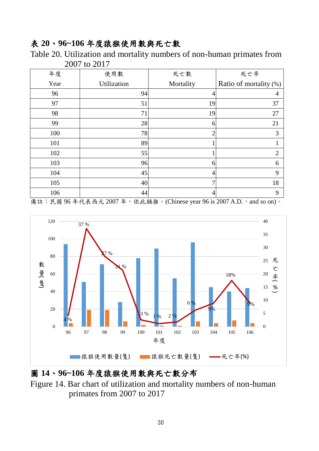#### 表 **20**、**96~106** 年度猿猴使用數與死亡數

Table 20. Utilization and mortality numbers of non-human primates from 2007 to 2017

| 年度   | 使用數         | 死亡數            | 死亡率                    |
|------|-------------|----------------|------------------------|
| Year | Utilization | Mortality      | Ratio of mortality (%) |
| 96   | 94          | 4              | 4                      |
| 97   | 51          | 19             | 37                     |
| 98   | 71          | 19             | 27                     |
| 99   | 28          | 6              | 21                     |
| 100  | 78          | $\overline{2}$ | 3                      |
| 101  | 89          |                |                        |
| 102  | 55          |                | $\overline{2}$         |
| 103  | 96          | 6              | 6                      |
| 104  | 45          | 4              | 9                      |
| 105  | 40          | 7              | 18                     |
| 106  | 44          | 4              | 9                      |

備註: 民國 96年代表西元 2007年, 依此類推。(Chinese year 96 is 2007 A.D., and so on)。



#### 圖 **14**、**96~106** 年度猿猴使用數與死亡數分布

Figure 14. Bar chart of utilization and mortality numbers of non-human primates from 2007 to 2017